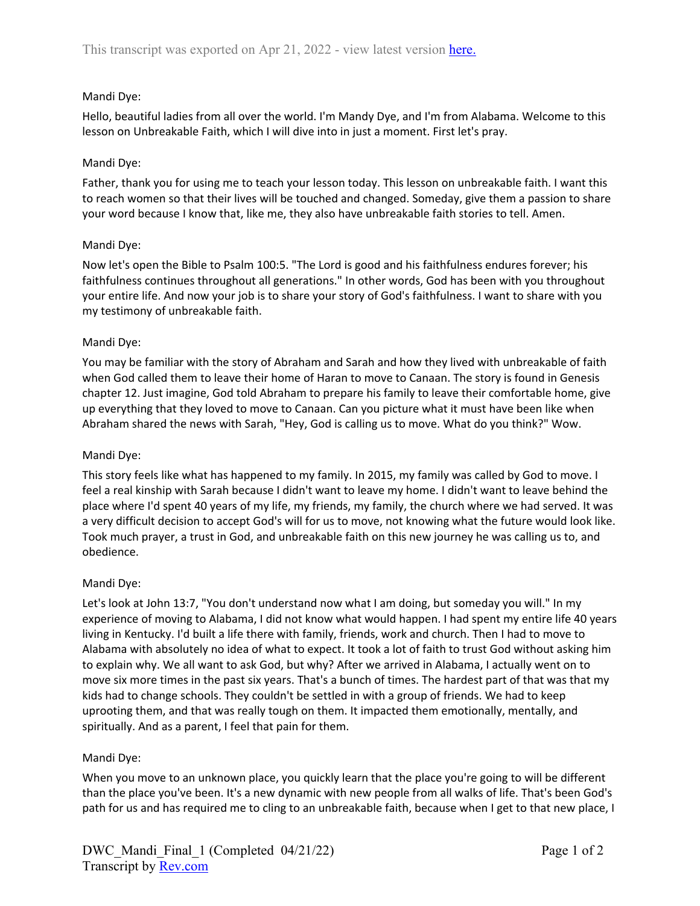# Mandi Dye:

Hello, beautiful ladies from all over the world. I'm Mandy Dye, and I'm from Alabama. Welcome to this lesson on Unbreakable Faith, which I will dive into in just a moment. First let's pray.

# Mandi Dye:

Father, thank you for using me to teach your lesson today. This lesson on unbreakable faith. I want this to reach women so that their lives will be touched and changed. Someday, give them a passion to share your word because I know that, like me, they also have unbreakable faith stories to tell. Amen.

# Mandi Dye:

Now let's open the Bible to Psalm 100:5. "The Lord is good and his faithfulness endures forever; his faithfulness continues throughout all generations." In other words, God has been with you throughout your entire life. And now your job is to share your story of God's faithfulness. I want to share with you my testimony of unbreakable faith.

# Mandi Dye:

You may be familiar with the story of Abraham and Sarah and how they lived with unbreakable of faith when God called them to leave their home of Haran to move to Canaan. The story is found in Genesis chapter 12. Just imagine, God told Abraham to prepare his family to leave their comfortable home, give up everything that they loved to move to Canaan. Can you picture what it must have been like when Abraham shared the news with Sarah, "Hey, God is calling us to move. What do you think?" Wow.

## Mandi Dye:

This story feels like what has happened to my family. In 2015, my family was called by God to move. I feel a real kinship with Sarah because I didn't want to leave my home. I didn't want to leave behind the place where I'd spent 40 years of my life, my friends, my family, the church where we had served. It was a very difficult decision to accept God's will for us to move, not knowing what the future would look like. Took much prayer, a trust in God, and unbreakable faith on this new journey he was calling us to, and obedience.

## Mandi Dye:

Let's look at John 13:7, "You don't understand now what I am doing, but someday you will." In my experience of moving to Alabama, I did not know what would happen. I had spent my entire life 40 years living in Kentucky. I'd built a life there with family, friends, work and church. Then I had to move to Alabama with absolutely no idea of what to expect. It took a lot of faith to trust God without asking him to explain why. We all want to ask God, but why? After we arrived in Alabama, I actually went on to move six more times in the past six years. That's a bunch of times. The hardest part of that was that my kids had to change schools. They couldn't be settled in with a group of friends. We had to keep uprooting them, and that was really tough on them. It impacted them emotionally, mentally, and spiritually. And as a parent, I feel that pain for them.

# Mandi Dye:

When you move to an unknown place, you quickly learn that the place you're going to will be different than the place you've been. It's a new dynamic with new people from all walks of life. That's been God's path for us and has required me to cling to an unbreakable faith, because when I get to that new place, I